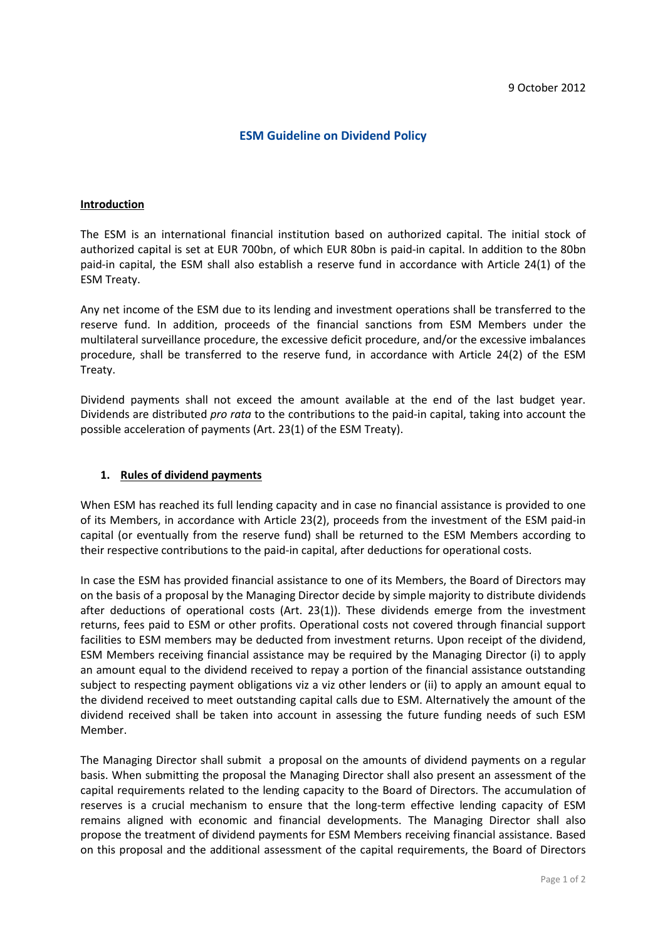## **ESM Guideline on Dividend Policy**

## **Introduction**

The ESM is an international financial institution based on authorized capital. The initial stock of authorized capital is set at EUR 700bn, of which EUR 80bn is paid-in capital. In addition to the 80bn paid-in capital, the ESM shall also establish a reserve fund in accordance with Article 24(1) of the ESM Treaty.

Any net income of the ESM due to its lending and investment operations shall be transferred to the reserve fund. In addition, proceeds of the financial sanctions from ESM Members under the multilateral surveillance procedure, the excessive deficit procedure, and/or the excessive imbalances procedure, shall be transferred to the reserve fund, in accordance with Article 24(2) of the ESM Treaty.

Dividend payments shall not exceed the amount available at the end of the last budget year. Dividends are distributed *pro rata* to the contributions to the paid-in capital, taking into account the possible acceleration of payments (Art. 23(1) of the ESM Treaty).

## **1. Rules of dividend payments**

When ESM has reached its full lending capacity and in case no financial assistance is provided to one of its Members, in accordance with Article 23(2), proceeds from the investment of the ESM paid-in capital (or eventually from the reserve fund) shall be returned to the ESM Members according to their respective contributions to the paid-in capital, after deductions for operational costs.

In case the ESM has provided financial assistance to one of its Members, the Board of Directors may on the basis of a proposal by the Managing Director decide by simple majority to distribute dividends after deductions of operational costs (Art. 23(1)). These dividends emerge from the investment returns, fees paid to ESM or other profits. Operational costs not covered through financial support facilities to ESM members may be deducted from investment returns. Upon receipt of the dividend, ESM Members receiving financial assistance may be required by the Managing Director (i) to apply an amount equal to the dividend received to repay a portion of the financial assistance outstanding subject to respecting payment obligations viz a viz other lenders or (ii) to apply an amount equal to the dividend received to meet outstanding capital calls due to ESM. Alternatively the amount of the dividend received shall be taken into account in assessing the future funding needs of such ESM Member.

The Managing Director shall submit a proposal on the amounts of dividend payments on a regular basis. When submitting the proposal the Managing Director shall also present an assessment of the capital requirements related to the lending capacity to the Board of Directors. The accumulation of reserves is a crucial mechanism to ensure that the long-term effective lending capacity of ESM remains aligned with economic and financial developments. The Managing Director shall also propose the treatment of dividend payments for ESM Members receiving financial assistance. Based on this proposal and the additional assessment of the capital requirements, the Board of Directors